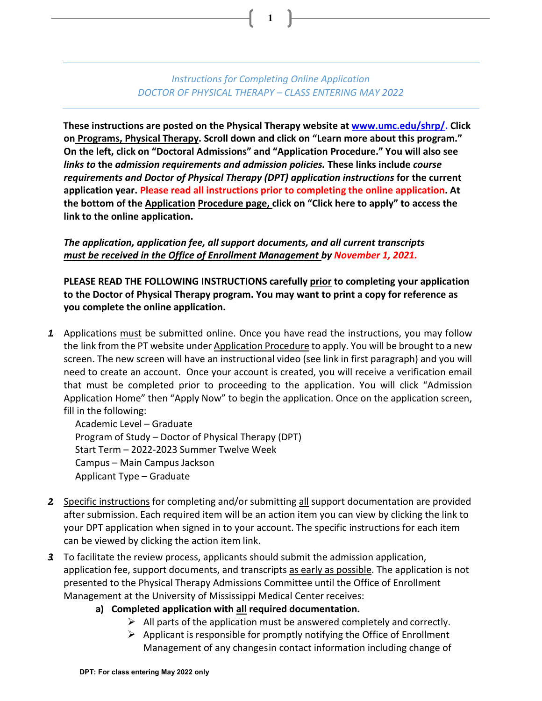## *Instructions for Completing Online Application DOCTOR OF PHYSICAL THERAPY – CLASS ENTERING MAY 2022*

**1**

**These instructions are posted on the Physical Therapy website at [www.umc.edu/shrp/.](http://www.umc.edu/shrp/) Click on Programs, Physical Therapy. Scroll down and click on "Learn more about this program." On the left, click on "Doctoral Admissions" and "Application Procedure." You will also see**  *links to* **the** *admission requirements and admission policies.* **These links include** *course requirements and Doctor of Physical Therapy (DPT) application instructions* **for the current application year. Please read all instructions prior to completing the online application. At the bottom of the Application Procedure page, click on "Click here to apply" to access the link to the online application.**

# *The application, application fee, all support documents, and all current transcripts must be received in the Office of Enrollment Management by November 1, 2021.*

**PLEASE READ THE FOLLOWING INSTRUCTIONS carefully prior to completing your application to the Doctor of Physical Therapy program. You may want to print a copy for reference as you complete the online application.**

**1.** Applications must be submitted online. Once you have read the instructions, you may follow the link from the PT website under Application Procedure to apply. You will be brought to a new screen. The new screen will have an instructional video (see link in first paragraph) and you will need to create an account. Once your account is created, you will receive a verification email that must be completed prior to proceeding to the application. You will click "Admission Application Home" then "Apply Now" to begin the application. Once on the application screen, fill in the following:

Academic Level – Graduate Program of Study – Doctor of Physical Therapy (DPT) Start Term – 2022-2023 Summer Twelve Week Campus – Main Campus Jackson Applicant Type – Graduate

- *2.* Specific instructions for completing and/or submitting all support documentation are provided after submission. Each required item will be an action item you can view by clicking the link to your DPT application when signed in to your account. The specific instructions for each item can be viewed by clicking the action item link.
- *3.* To facilitate the review process, applicants should submit the admission application, application fee, support documents, and transcripts as early as possible. The application is not presented to the Physical Therapy Admissions Committee until the Office of Enrollment Management at the University of Mississippi Medical Center receives:
	- **a) Completed application with all required documentation.**
		- $\triangleright$  All parts of the application must be answered completely and correctly.
		- $\triangleright$  Applicant is responsible for promptly notifying the Office of Enrollment Management of any changesin contact information including change of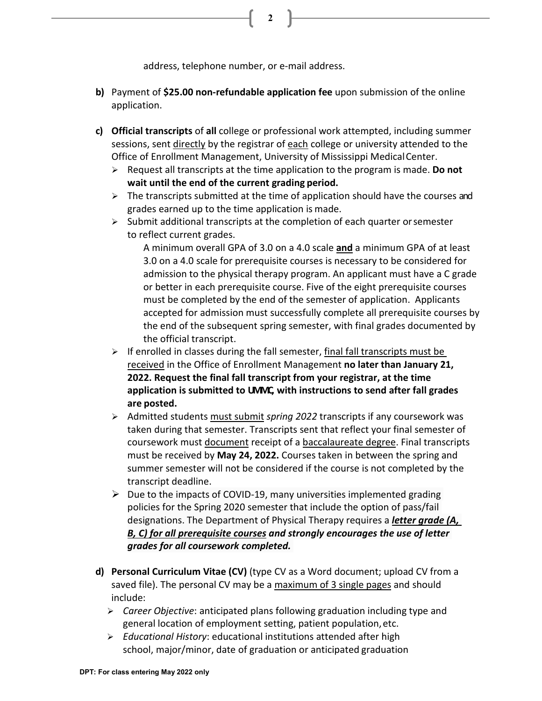address, telephone number, or e-mail address.

- **b)** Payment of **\$25.00 non-refundable application fee** upon submission of the online application.
- **c) Official transcripts** of **all** college or professional work attempted, including summer sessions, sent directly by the registrar of each college or university attended to the Office of Enrollment Management, University of Mississippi MedicalCenter.
	- Request all transcripts at the time application to the program is made. **Do not wait until the end of the current grading period.**
	- $\triangleright$  The transcripts submitted at the time of application should have the courses and grades earned up to the time application is made.
	- $\triangleright$  Submit additional transcripts at the completion of each quarter or semester to reflect current grades.

A minimum overall GPA of 3.0 on a 4.0 scale **and** a minimum GPA of at least 3.0 on a 4.0 scale for prerequisite courses is necessary to be considered for admission to the physical therapy program. An applicant must have a C grade or better in each prerequisite course. Five of the eight prerequisite courses must be completed by the end of the semester of application. Applicants accepted for admission must successfully complete all prerequisite courses by the end of the subsequent spring semester, with final grades documented by the official transcript.

- $\triangleright$  If enrolled in classes during the fall semester, final fall transcripts must be received in the Office of Enrollment Management **no later than January 21, 2022. Request the final fall transcript from your registrar, at the time application is submitted to UMMC, with instructions to send after fall grades are posted.**
- Admitted students must submit *spring 2022* transcripts if any coursework was taken during that semester. Transcripts sent that reflect your final semester of coursework must document receipt of a baccalaureate degree. Final transcripts must be received by **May 24, 2022.** Courses taken in between the spring and summer semester will not be considered if the course is not completed by the transcript deadline.
- $\triangleright$  Due to the impacts of COVID-19, many universities implemented grading policies for the Spring 2020 semester that include the option of pass/fail designations. The Department of Physical Therapy requires a *letter grade (A, B, C) for all prerequisite courses and strongly encourages the use of letter grades for all coursework completed.*
- **d) Personal Curriculum Vitae (CV)** (type CV as a Word document; upload CV from a saved file). The personal CV may be a maximum of 3 single pages and should include:
	- *Career Objective*: anticipated plans following graduation including type and general location of employment setting, patient population,etc.
	- *Educational History*: educational institutions attended after high school, major/minor, date of graduation or anticipated graduation

**2**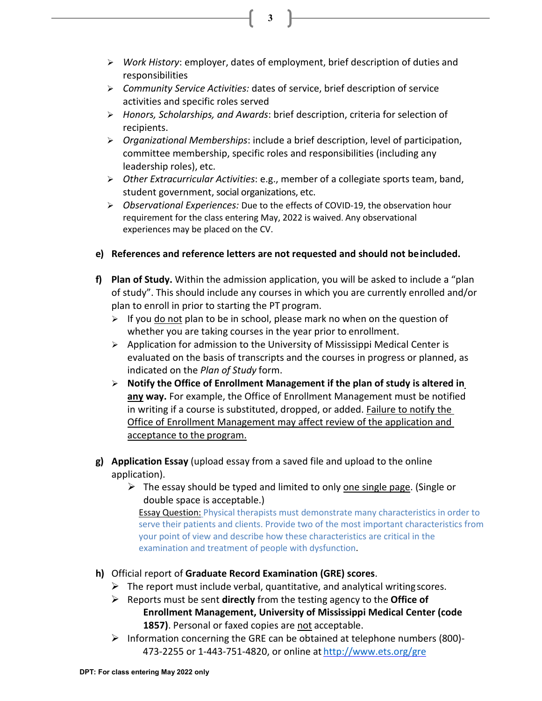- *Work History*: employer, dates of employment, brief description of duties and responsibilities
- *Community Service Activities:* dates of service, brief description of service activities and specific roles served

**3**

- *Honors, Scholarships, and Awards*: brief description, criteria for selection of recipients.
- *Organizational Memberships*: include a brief description, level of participation, committee membership, specific roles and responsibilities (including any leadership roles), etc.
- *Other Extracurricular Activities*: e.g., member of a collegiate sports team, band, student government, social organizations, etc.
- *Observational Experiences:* Due to the effects of COVID-19, the observation hour requirement for the class entering May, 2022 is waived. Any observational experiences may be placed on the CV.
- **e) References and reference letters are not requested and should not beincluded.**
- **f) Plan of Study.** Within the admission application, you will be asked to include a "plan of study". This should include any courses in which you are currently enrolled and/or plan to enroll in prior to starting the PT program.
	- $\triangleright$  If you do not plan to be in school, please mark no when on the question of whether you are taking courses in the year prior to enrollment.
	- $\triangleright$  Application for admission to the University of Mississippi Medical Center is evaluated on the basis of transcripts and the courses in progress or planned, as indicated on the *Plan of Study* form.
	- **Notify the Office of Enrollment Management if the plan of study is altered in any way.** For example, the Office of Enrollment Management must be notified in writing if a course is substituted, dropped, or added. Failure to notify the Office of Enrollment Management may affect review of the application and acceptance to the program.
- **g) Application Essay** (upload essay from a saved file and upload to the online application).
	- $\triangleright$  The essay should be typed and limited to only one single page. (Single or double space is acceptable.)

Essay Question: Physical therapists must demonstrate many characteristics in order to serve their patients and clients. Provide two of the most important characteristics from your point of view and describe how these characteristics are critical in the examination and treatment of people with dysfunction.

- **h)** Official report of **Graduate Record Examination (GRE) scores**.
	- $\triangleright$  The report must include verbal, quantitative, and analytical writing scores.
	- Reports must be sent **directly** from the testing agency to the **Office of Enrollment Management, University of Mississippi Medical Center (code 1857)**. Personal or faxed copies are not acceptable.
	- Information concerning the GRE can be obtained at telephone numbers (800)-473-2255 or 1-443-751-4820, or online at <http://www.ets.org/gre>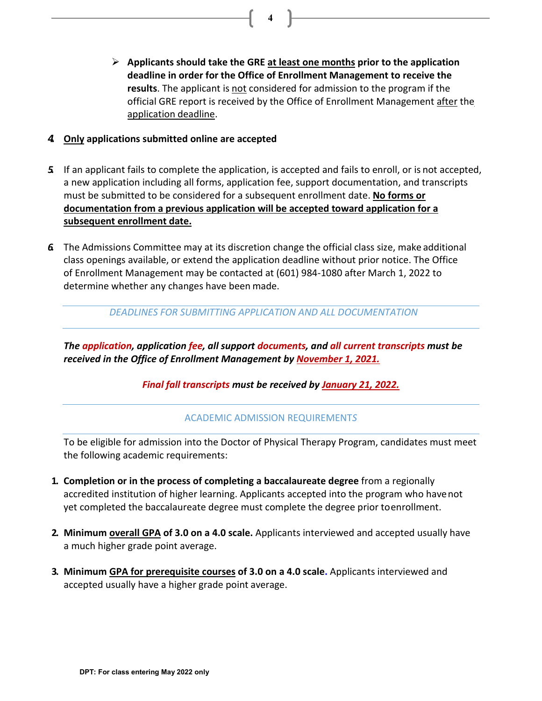**Applicants should take the GRE at least one months prior to the application deadline in order for the Office of Enrollment Management to receive the results**. The applicant is not considered for admission to the program if the official GRE report is received by the Office of Enrollment Management after the application deadline.

**4**

### *4.* **Only applications submitted online are accepted**

- *5.* If an applicant fails to complete the application, is accepted and fails to enroll, or is not accepted, a new application including all forms, application fee, support documentation, and transcripts must be submitted to be considered for a subsequent enrollment date. **No forms or documentation from a previous application will be accepted toward application for a subsequent enrollment date.**
- *6.* The Admissions Committee may at its discretion change the official class size, make additional class openings available, or extend the application deadline without prior notice. The Office of Enrollment Management may be contacted at (601) 984-1080 after March 1, 2022 to determine whether any changes have been made.

*DEADLINES FOR SUBMITTING APPLICATION AND ALL DOCUMENTATION*

*The application, application fee, all support documents, and all current transcripts must be received in the Office of Enrollment Management by November 1, 2021.*

*Final fall transcripts must be received by January 21, 2022.*

# ACADEMIC ADMISSION REQUIREMENT*S*

To be eligible for admission into the Doctor of Physical Therapy Program, candidates must meet the following academic requirements:

- **1. Completion or in the process of completing a baccalaureate degree** from a regionally accredited institution of higher learning. Applicants accepted into the program who havenot yet completed the baccalaureate degree must complete the degree prior toenrollment.
- **2. Minimum overall GPA of 3.0 on a 4.0 scale.** Applicants interviewed and accepted usually have a much higher grade point average.
- **3. Minimum GPA for prerequisite courses of 3.0 on a 4.0 scale.** Applicants interviewed and accepted usually have a higher grade point average.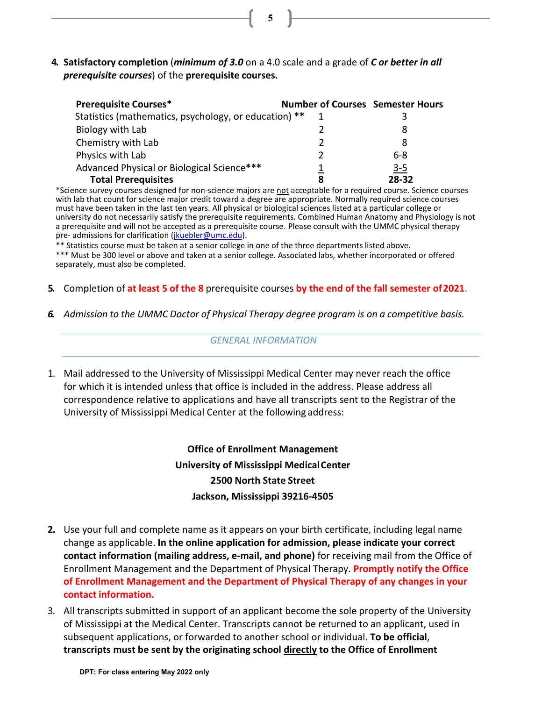**4. Satisfactory completion** (*minimum of 3.0* on a 4.0 scale and a grade of *C or better in all prerequisite courses*) of the **prerequisite courses.**

| <b>Prerequisite Courses*</b>                          | <b>Number of Courses Semester Hours</b> |            |
|-------------------------------------------------------|-----------------------------------------|------------|
| Statistics (mathematics, psychology, or education) ** |                                         |            |
| Biology with Lab                                      |                                         |            |
| Chemistry with Lab                                    |                                         |            |
| Physics with Lab                                      | າ                                       | $6 - 8$    |
| Advanced Physical or Biological Science***            |                                         | <u>3-5</u> |
| <b>Total Prerequisites</b>                            | 8                                       | 28-32      |

\*Science survey courses designed for non-science majors are not acceptable for a required course. Science courses with lab that count for science major credit toward a degree are appropriate. Normally required science courses must have been taken in the last ten years. All physical or biological sciences listed at a particular college or university do not necessarily satisfy the prerequisite requirements. Combined Human Anatomy and Physiology is not a prerequisite and will not be accepted as a prerequisite course. Please consult with the UMMC physical therapy pre- admissions for clarification (*jkuebler@umc.edu*).

\*\* Statistics course must be taken at a senior college in one of the three departments listed above. \*\*\* Must be 300 level or above and taken at a senior college. Associated labs, whether incorporated or offered separately, must also be completed.

- **5.** Completion of **at least 5 of the 8** prerequisite courses **by the end of the fall semester of2021**.
- *6. Admission to the UMMC Doctor of Physical Therapy degree program is on a competitive basis.*

*GENERAL INFORMATION*

1. Mail addressed to the University of Mississippi Medical Center may never reach the office for which it is intended unless that office is included in the address. Please address all correspondence relative to applications and have all transcripts sent to the Registrar of the University of Mississippi Medical Center at the following address:

> **Office of Enrollment Management University of Mississippi MedicalCenter 2500 North State Street Jackson, Mississippi 39216-4505**

- **2.** Use your full and complete name as it appears on your birth certificate, including legal name change as applicable. **In the online application for admission, please indicate your correct contact information (mailing address, e-mail, and phone)** for receiving mail from the Office of Enrollment Management and the Department of Physical Therapy. **Promptly notify the Office of Enrollment Management and the Department of Physical Therapy of any changes in your contact information.**
- 3. All transcripts submitted in support of an applicant become the sole property of the University of Mississippi at the Medical Center. Transcripts cannot be returned to an applicant, used in subsequent applications, or forwarded to another school or individual. **To be official**, **transcripts must be sent by the originating school directly to the Office of Enrollment**

**5**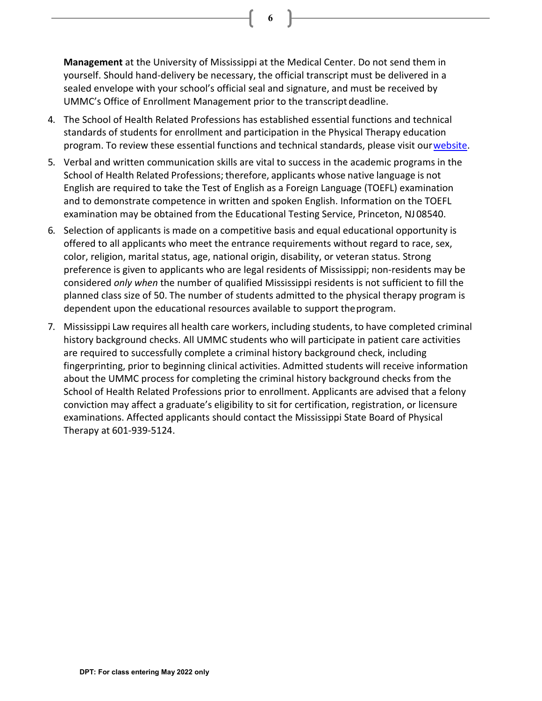**Management** at the University of Mississippi at the Medical Center. Do not send them in yourself. Should hand-delivery be necessary, the official transcript must be delivered in a sealed envelope with your school's official seal and signature, and must be received by UMMC's Office of Enrollment Management prior to the transcript deadline.

**6**

- 4. The School of Health Related Professions has established essential functions and technical standards of students for enrollment and participation in the Physical Therapy education program. To review these essential functions and technical standards, please visit ou[rwebsite.](https://www.umc.edu/shrp/Physical%20Therapy/About%20the%20Program/Technical%20Standards.html)
- 5. Verbal and written communication skills are vital to success in the academic programs in the School of Health Related Professions; therefore, applicants whose native language is not English are required to take the Test of English as a Foreign Language (TOEFL) examination and to demonstrate competence in written and spoken English. Information on the TOEFL examination may be obtained from the Educational Testing Service, Princeton, NJ 08540.
- 6. Selection of applicants is made on a competitive basis and equal educational opportunity is offered to all applicants who meet the entrance requirements without regard to race, sex, color, religion, marital status, age, national origin, disability, or veteran status. Strong preference is given to applicants who are legal residents of Mississippi; non-residents may be considered *only when* the number of qualified Mississippi residents is not sufficient to fill the planned class size of 50. The number of students admitted to the physical therapy program is dependent upon the educational resources available to support theprogram.
- 7. Mississippi Law requires all health care workers, including students, to have completed criminal history background checks. All UMMC students who will participate in patient care activities are required to successfully complete a criminal history background check, including fingerprinting, prior to beginning clinical activities. Admitted students will receive information about the UMMC process for completing the criminal history background checks from the School of Health Related Professions prior to enrollment. Applicants are advised that a felony conviction may affect a graduate's eligibility to sit for certification, registration, or licensure examinations. Affected applicants should contact the Mississippi State Board of Physical Therapy at 601-939-5124.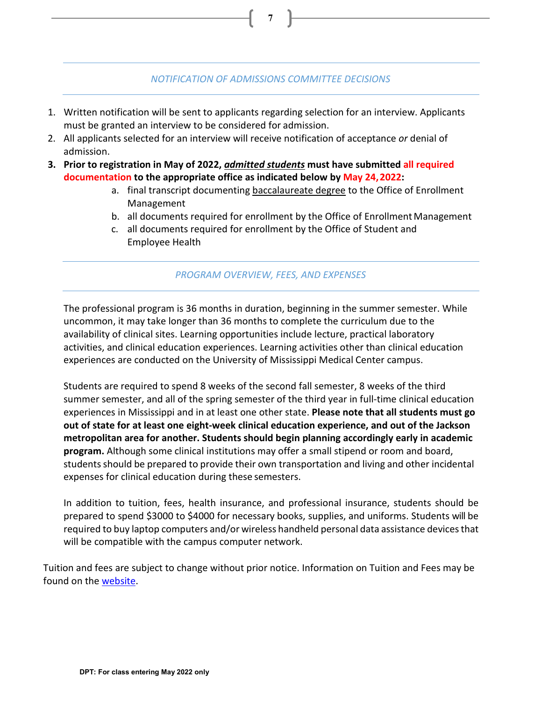#### *NOTIFICATION OF ADMISSIONS COMMITTEE DECISIONS*

**7**

- 1. Written notification will be sent to applicants regarding selection for an interview. Applicants must be granted an interview to be considered for admission.
- 2. All applicants selected for an interview will receive notification of acceptance *or* denial of admission.
- **3. Prior to registration in May of 2022,** *admitted students* **must have submitted all required documentation to the appropriate office as indicated below by May 24,2022:**
	- a. final transcript documenting baccalaureate degree to the Office of Enrollment Management
	- b. all documents required for enrollment by the Office of Enrollment Management
	- c. all documents required for enrollment by the Office of Student and Employee Health

# *PROGRAM OVERVIEW, FEES, AND EXPENSES*

The professional program is 36 months in duration, beginning in the summer semester. While uncommon, it may take longer than 36 months to complete the curriculum due to the availability of clinical sites. Learning opportunities include lecture, practical laboratory activities, and clinical education experiences. Learning activities other than clinical education experiences are conducted on the University of Mississippi Medical Center campus.

Students are required to spend 8 weeks of the second fall semester, 8 weeks of the third summer semester, and all of the spring semester of the third year in full-time clinical education experiences in Mississippi and in at least one other state. **Please note that all students must go out of state for at least one eight-week clinical education experience, and out of the Jackson metropolitan area for another. Students should begin planning accordingly early in academic program.** Although some clinical institutions may offer a small stipend or room and board, students should be prepared to provide their own transportation and living and other incidental expenses for clinical education during these semesters.

In addition to tuition, fees, health insurance, and professional insurance, students should be prepared to spend \$3000 to \$4000 for necessary books, supplies, and uniforms. Students will be required to buy laptop computers and/or wireless handheld personal data assistance devices that will be compatible with the campus computer network.

Tuition and fees are subject to change without prior notice. Information on Tuition and Fees may be found on the [website.](https://www.umc.edu/shrp/Physical%20Therapy/Doctoral%20PT%20Degree/Tuition%20and%20Fees.html)